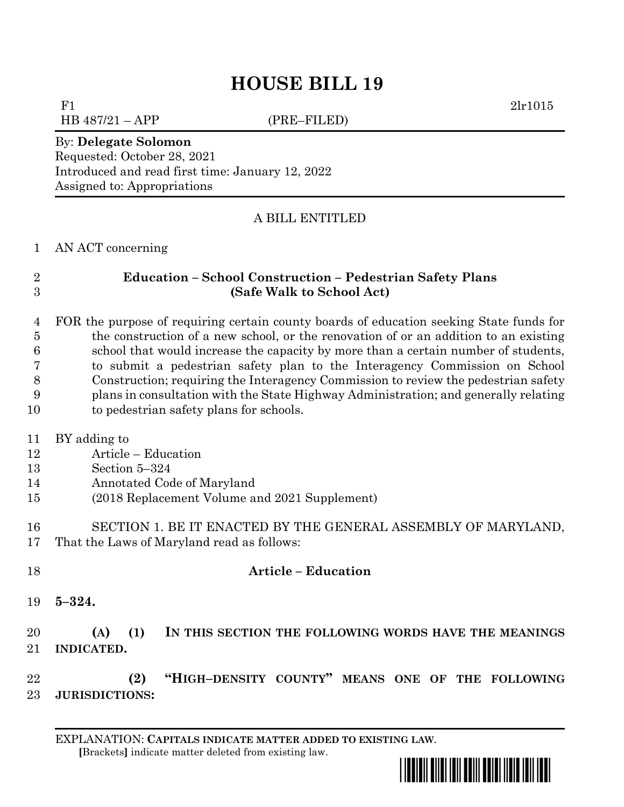# **HOUSE BILL 19**

F1 2lr1015

 $HB 487/21 - APP$  (PRE–FILED)

#### By: **Delegate Solomon**

Requested: October 28, 2021 Introduced and read first time: January 12, 2022 Assigned to: Appropriations

### A BILL ENTITLED

AN ACT concerning

# **Education – School Construction – Pedestrian Safety Plans (Safe Walk to School Act)**

 FOR the purpose of requiring certain county boards of education seeking State funds for the construction of a new school, or the renovation of or an addition to an existing school that would increase the capacity by more than a certain number of students, to submit a pedestrian safety plan to the Interagency Commission on School Construction; requiring the Interagency Commission to review the pedestrian safety plans in consultation with the State Highway Administration; and generally relating to pedestrian safety plans for schools.

- BY adding to
- Article Education
- Section 5–324
- Annotated Code of Maryland
- (2018 Replacement Volume and 2021 Supplement)
- SECTION 1. BE IT ENACTED BY THE GENERAL ASSEMBLY OF MARYLAND, That the Laws of Maryland read as follows:
- **Article – Education**
	- **5–324.**

# **(A) (1) IN THIS SECTION THE FOLLOWING WORDS HAVE THE MEANINGS INDICATED.**

 **(2) "HIGH–DENSITY COUNTY" MEANS ONE OF THE FOLLOWING JURISDICTIONS:**

EXPLANATION: **CAPITALS INDICATE MATTER ADDED TO EXISTING LAW**.  **[**Brackets**]** indicate matter deleted from existing law.

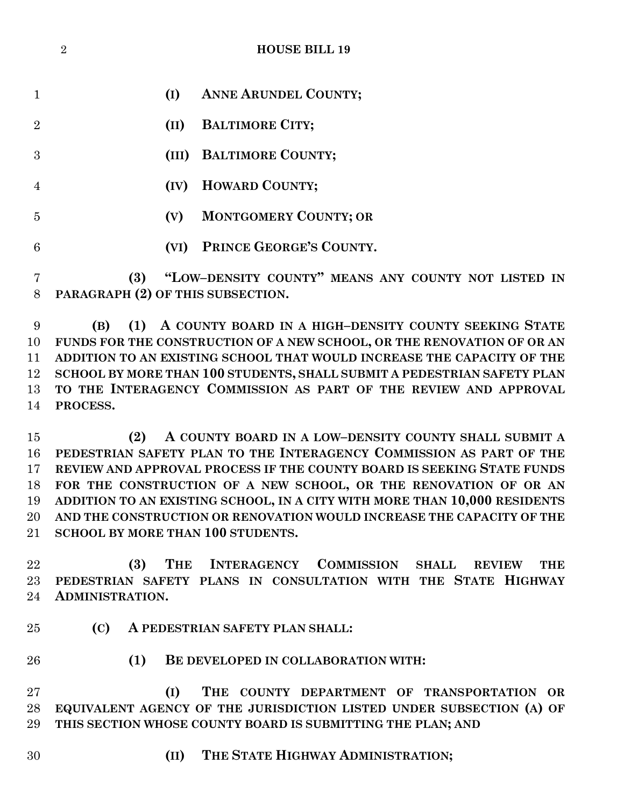|                | $\overline{2}$<br><b>HOUSE BILL 19</b>                                                                                                        |
|----------------|-----------------------------------------------------------------------------------------------------------------------------------------------|
|                |                                                                                                                                               |
| $\mathbf{1}$   | <b>ANNE ARUNDEL COUNTY;</b><br>(I)                                                                                                            |
| $\overline{2}$ | <b>BALTIMORE CITY;</b><br>(II)                                                                                                                |
| 3              | <b>BALTIMORE COUNTY;</b><br>(III)                                                                                                             |
|                |                                                                                                                                               |
| $\overline{4}$ | <b>HOWARD COUNTY;</b><br>(IV)                                                                                                                 |
| 5              | <b>MONTGOMERY COUNTY; OR</b><br>(V)                                                                                                           |
| 6              | PRINCE GEORGE'S COUNTY.<br>(VI)                                                                                                               |
| 7              | "LOW-DENSITY COUNTY" MEANS ANY COUNTY NOT LISTED IN<br>(3)                                                                                    |
| 8              | PARAGRAPH (2) OF THIS SUBSECTION.                                                                                                             |
|                |                                                                                                                                               |
| 9<br>10        | A COUNTY BOARD IN A HIGH-DENSITY COUNTY SEEKING STATE<br>(1)<br>(B)<br>FUNDS FOR THE CONSTRUCTION OF A NEW SCHOOL, OR THE RENOVATION OF OR AN |
|                |                                                                                                                                               |
| 11             | ADDITION TO AN EXISTING SCHOOL THAT WOULD INCREASE THE CAPACITY OF THE                                                                        |
| 12             | SCHOOL BY MORE THAN 100 STUDENTS, SHALL SUBMIT A PEDESTRIAN SAFETY PLAN                                                                       |
| 13             | TO THE INTERAGENCY COMMISSION AS PART OF THE REVIEW AND APPROVAL                                                                              |
| 14             | PROCESS.                                                                                                                                      |
| 15             | A COUNTY BOARD IN A LOW-DENSITY COUNTY SHALL SUBMIT A<br>(2)                                                                                  |
| 16             | PEDESTRIAN SAFETY PLAN TO THE INTERAGENCY COMMISSION AS PART OF THE                                                                           |
| 17             | REVIEW AND APPROVAL PROCESS IF THE COUNTY BOARD IS SEEKING STATE FUNDS                                                                        |
| 18             | FOR THE CONSTRUCTION OF A NEW SCHOOL, OR THE RENOVATION OF OR AN                                                                              |
| 19             | ADDITION TO AN EXISTING SCHOOL, IN A CITY WITH MORE THAN 10,000 RESIDENTS                                                                     |
| 20             | AND THE CONSTRUCTION OR RENOVATION WOULD INCREASE THE CAPACITY OF THE                                                                         |
| 21             | <b>SCHOOL BY MORE THAN 100 STUDENTS.</b>                                                                                                      |
|                |                                                                                                                                               |
| 22             | THE INTERAGENCY COMMISSION<br>(3)<br><b>SHALL</b><br><b>REVIEW</b><br><b>THE</b>                                                              |
| 23             | PEDESTRIAN SAFETY PLANS IN CONSULTATION WITH THE STATE HIGHWAY                                                                                |
| 24             | <b>ADMINISTRATION.</b>                                                                                                                        |
| 25             | (C)<br>A PEDESTRIAN SAFETY PLAN SHALL:                                                                                                        |
| 26             | (1)<br>BE DEVELOPED IN COLLABORATION WITH:                                                                                                    |
| 27             | (I)<br>THE COUNTY DEPARTMENT OF TRANSPORTATION OR                                                                                             |
| 28             | EQUIVALENT AGENCY OF THE JURISDICTION LISTED UNDER SUBSECTION (A) OF                                                                          |

**THIS SECTION WHOSE COUNTY BOARD IS SUBMITTING THE PLAN; AND** 

- 
- **(II) THE STATE HIGHWAY ADMINISTRATION;**